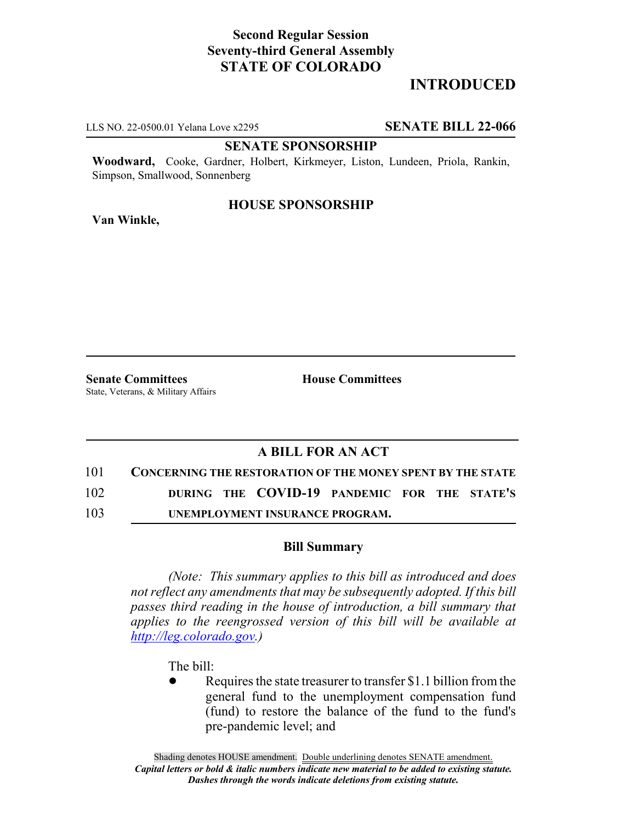# **Second Regular Session Seventy-third General Assembly STATE OF COLORADO**

# **INTRODUCED**

LLS NO. 22-0500.01 Yelana Love x2295 **SENATE BILL 22-066**

#### **SENATE SPONSORSHIP**

**Woodward,** Cooke, Gardner, Holbert, Kirkmeyer, Liston, Lundeen, Priola, Rankin, Simpson, Smallwood, Sonnenberg

# **HOUSE SPONSORSHIP**

**Van Winkle,**

**Senate Committees House Committees** State, Veterans, & Military Affairs

## **A BILL FOR AN ACT**

## 101 **CONCERNING THE RESTORATION OF THE MONEY SPENT BY THE STATE**

102 **DURING THE COVID-19 PANDEMIC FOR THE STATE'S**

103 **UNEMPLOYMENT INSURANCE PROGRAM.**

#### **Bill Summary**

*(Note: This summary applies to this bill as introduced and does not reflect any amendments that may be subsequently adopted. If this bill passes third reading in the house of introduction, a bill summary that applies to the reengrossed version of this bill will be available at http://leg.colorado.gov.)*

The bill:

Requires the state treasurer to transfer \$1.1 billion from the general fund to the unemployment compensation fund (fund) to restore the balance of the fund to the fund's pre-pandemic level; and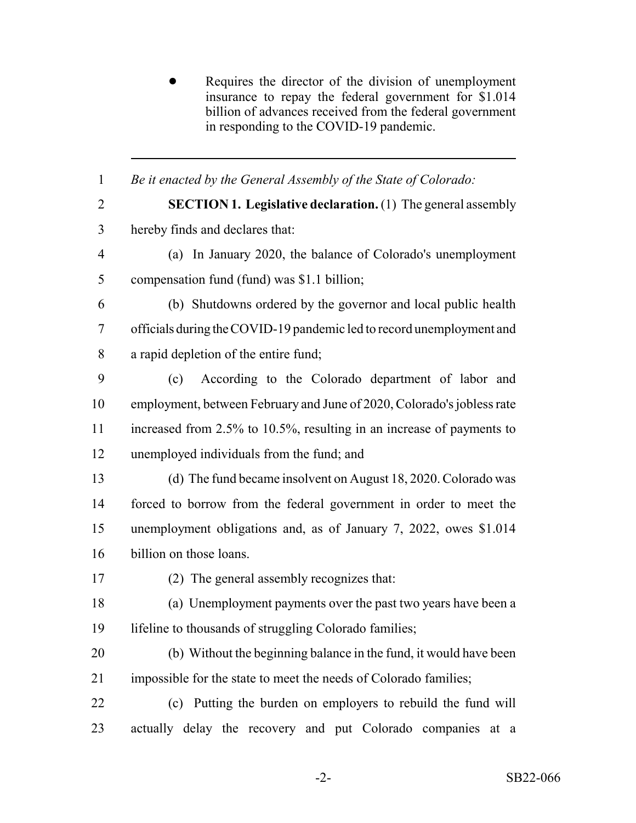Requires the director of the division of unemployment insurance to repay the federal government for \$1.014 billion of advances received from the federal government in responding to the COVID-19 pandemic.

 *Be it enacted by the General Assembly of the State of Colorado:* **SECTION 1. Legislative declaration.** (1) The general assembly hereby finds and declares that: (a) In January 2020, the balance of Colorado's unemployment compensation fund (fund) was \$1.1 billion; (b) Shutdowns ordered by the governor and local public health officials during the COVID-19 pandemic led to record unemployment and a rapid depletion of the entire fund; (c) According to the Colorado department of labor and employment, between February and June of 2020, Colorado's jobless rate 11 increased from 2.5% to 10.5%, resulting in an increase of payments to unemployed individuals from the fund; and (d) The fund became insolvent on August 18, 2020. Colorado was forced to borrow from the federal government in order to meet the unemployment obligations and, as of January 7, 2022, owes \$1.014 billion on those loans. (2) The general assembly recognizes that: (a) Unemployment payments over the past two years have been a lifeline to thousands of struggling Colorado families; (b) Without the beginning balance in the fund, it would have been impossible for the state to meet the needs of Colorado families; (c) Putting the burden on employers to rebuild the fund will actually delay the recovery and put Colorado companies at a